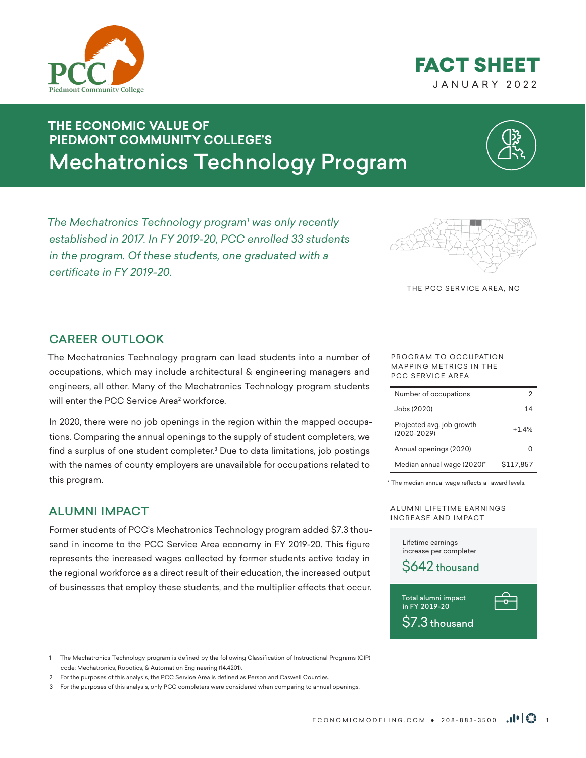# **THE ECONOMIC VALUE OF PIEDMONT COMMUNITY COLLEGE'S** Mechatronics Technology Program

*The Mechatronics Technology program<sup>1</sup> was only recently established in 2017. In FY 2019-20, PCC enrolled 33 students in the program. Of these students, one graduated with a certificate in FY 2019-20.* 

# CAREER OUTLOOK

The Mechatronics Technology program can lead students into a number of occupations, which may include architectural & engineering managers and engineers, all other. Many of the Mechatronics Technology program students will enter the PCC Service Area<sup>2</sup> workforce.

In 2020, there were no job openings in the region within the mapped occupations. Comparing the annual openings to the supply of student completers, we find a surplus of one student completer.<sup>3</sup> Due to data limitations, job postings with the names of county employers are unavailable for occupations related to this program.

## ALUMNI IMPACT

Former students of PCC's Mechatronics Technology program added \$7.3 thousand in income to the PCC Service Area economy in FY 2019-20. This figure represents the increased wages collected by former students active today in the regional workforce as a direct result of their education, the increased output of businesses that employ these students, and the multiplier effects that occur.

1 The Mechatronics Technology program is defined by the following Classification of Instructional Programs (CIP) code: Mechatronics, Robotics, & Automation Engineering (14.4201).

#### PROGRAM TO OCCUPATION MAPPING METRICS IN THE PCC SERVICE AREA

| Number of occupations                        |           |
|----------------------------------------------|-----------|
| Jobs (2020)                                  | 14        |
| Projected avg. job growth<br>$(2020 - 2029)$ | $+14%$    |
| Annual openings (2020)                       |           |
| Median annual wage (2020)*                   | \$117.857 |

THE PCC SERVICE AREA, NC

\* The median annual wage reflects all award levels.

A LUMNI LIFETIME EARNINGS INCREASE AND IMPACT

Lifetime earnings increase per completer













<sup>2</sup> For the purposes of this analysis, the PCC Service Area is defined as Person and Caswell Counties.

<sup>3</sup> For the purposes of this analysis, only PCC completers were considered when comparing to annual openings.